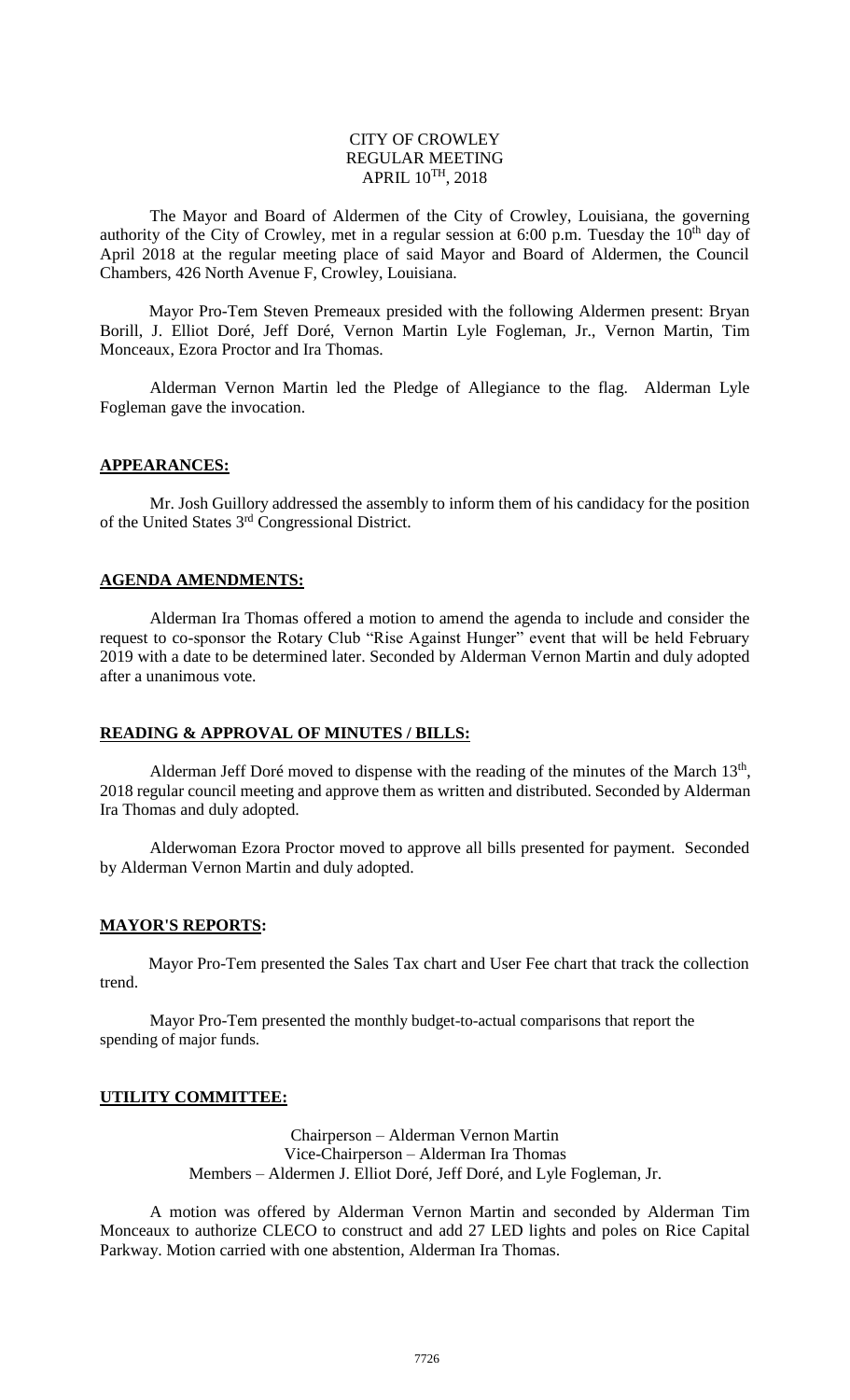### CITY OF CROWLEY REGULAR MEETING APRIL 10 TH, 2018

The Mayor and Board of Aldermen of the City of Crowley, Louisiana, the governing authority of the City of Crowley, met in a regular session at 6:00 p.m. Tuesday the  $10<sup>th</sup>$  day of April 2018 at the regular meeting place of said Mayor and Board of Aldermen, the Council Chambers, 426 North Avenue F, Crowley, Louisiana.

Mayor Pro-Tem Steven Premeaux presided with the following Aldermen present: Bryan Borill, J. Elliot Doré, Jeff Doré, Vernon Martin Lyle Fogleman, Jr., Vernon Martin, Tim Monceaux, Ezora Proctor and Ira Thomas.

Alderman Vernon Martin led the Pledge of Allegiance to the flag. Alderman Lyle Fogleman gave the invocation.

#### **APPEARANCES:**

Mr. Josh Guillory addressed the assembly to inform them of his candidacy for the position of the United States 3rd Congressional District.

#### **AGENDA AMENDMENTS:**

Alderman Ira Thomas offered a motion to amend the agenda to include and consider the request to co-sponsor the Rotary Club "Rise Against Hunger" event that will be held February 2019 with a date to be determined later. Seconded by Alderman Vernon Martin and duly adopted after a unanimous vote.

#### **READING & APPROVAL OF MINUTES / BILLS:**

Alderman Jeff Doré moved to dispense with the reading of the minutes of the March  $13<sup>th</sup>$ , 2018 regular council meeting and approve them as written and distributed. Seconded by Alderman Ira Thomas and duly adopted.

Alderwoman Ezora Proctor moved to approve all bills presented for payment. Seconded by Alderman Vernon Martin and duly adopted.

#### **MAYOR'S REPORTS:**

Mayor Pro-Tem presented the Sales Tax chart and User Fee chart that track the collection trend.

Mayor Pro-Tem presented the monthly budget-to-actual comparisons that report the spending of major funds.

# **UTILITY COMMITTEE:**

Chairperson – Alderman Vernon Martin Vice-Chairperson – Alderman Ira Thomas Members – Aldermen J. Elliot Doré, Jeff Doré, and Lyle Fogleman, Jr.

A motion was offered by Alderman Vernon Martin and seconded by Alderman Tim Monceaux to authorize CLECO to construct and add 27 LED lights and poles on Rice Capital Parkway. Motion carried with one abstention, Alderman Ira Thomas.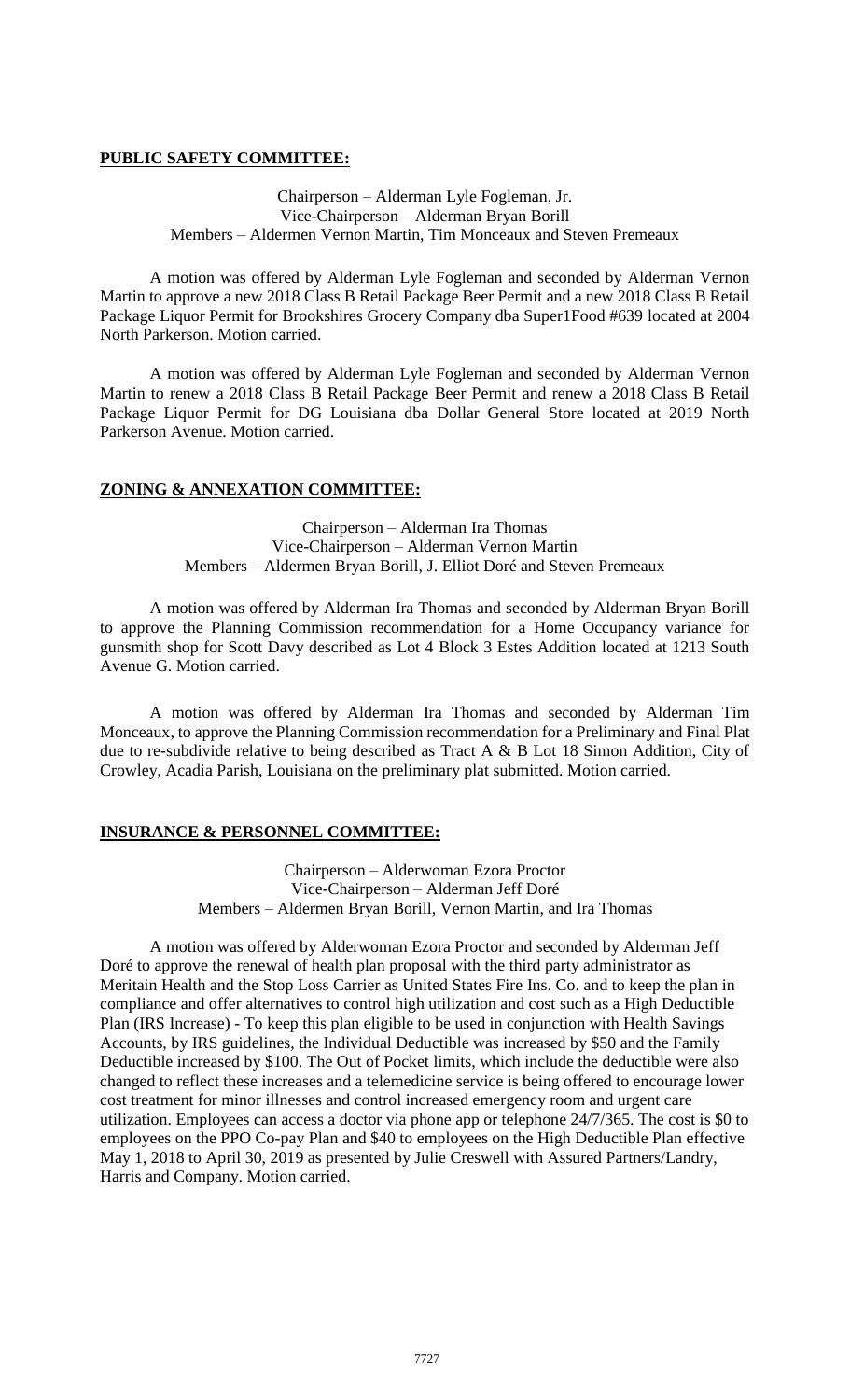# **PUBLIC SAFETY COMMITTEE:**

# Chairperson – Alderman Lyle Fogleman, Jr. Vice-Chairperson – Alderman Bryan Borill Members – Aldermen Vernon Martin, Tim Monceaux and Steven Premeaux

A motion was offered by Alderman Lyle Fogleman and seconded by Alderman Vernon Martin to approve a new 2018 Class B Retail Package Beer Permit and a new 2018 Class B Retail Package Liquor Permit for Brookshires Grocery Company dba Super1Food #639 located at 2004 North Parkerson. Motion carried.

A motion was offered by Alderman Lyle Fogleman and seconded by Alderman Vernon Martin to renew a 2018 Class B Retail Package Beer Permit and renew a 2018 Class B Retail Package Liquor Permit for DG Louisiana dba Dollar General Store located at 2019 North Parkerson Avenue. Motion carried.

# **ZONING & ANNEXATION COMMITTEE:**

Chairperson – Alderman Ira Thomas Vice-Chairperson – Alderman Vernon Martin Members – Aldermen Bryan Borill, J. Elliot Doré and Steven Premeaux

A motion was offered by Alderman Ira Thomas and seconded by Alderman Bryan Borill to approve the Planning Commission recommendation for a Home Occupancy variance for gunsmith shop for Scott Davy described as Lot 4 Block 3 Estes Addition located at 1213 South Avenue G. Motion carried.

A motion was offered by Alderman Ira Thomas and seconded by Alderman Tim Monceaux, to approve the Planning Commission recommendation for a Preliminary and Final Plat due to re-subdivide relative to being described as Tract A & B Lot 18 Simon Addition, City of Crowley, Acadia Parish, Louisiana on the preliminary plat submitted. Motion carried.

# **INSURANCE & PERSONNEL COMMITTEE:**

Chairperson – Alderwoman Ezora Proctor Vice-Chairperson – Alderman Jeff Doré Members – Aldermen Bryan Borill, Vernon Martin, and Ira Thomas

A motion was offered by Alderwoman Ezora Proctor and seconded by Alderman Jeff Doré to approve the renewal of health plan proposal with the third party administrator as Meritain Health and the Stop Loss Carrier as United States Fire Ins. Co. and to keep the plan in compliance and offer alternatives to control high utilization and cost such as a High Deductible Plan (IRS Increase) - To keep this plan eligible to be used in conjunction with Health Savings Accounts, by IRS guidelines, the Individual Deductible was increased by \$50 and the Family Deductible increased by \$100. The Out of Pocket limits, which include the deductible were also changed to reflect these increases and a telemedicine service is being offered to encourage lower cost treatment for minor illnesses and control increased emergency room and urgent care utilization. Employees can access a doctor via phone app or telephone 24/7/365. The cost is \$0 to employees on the PPO Co-pay Plan and \$40 to employees on the High Deductible Plan effective May 1, 2018 to April 30, 2019 as presented by Julie Creswell with Assured Partners/Landry, Harris and Company. Motion carried.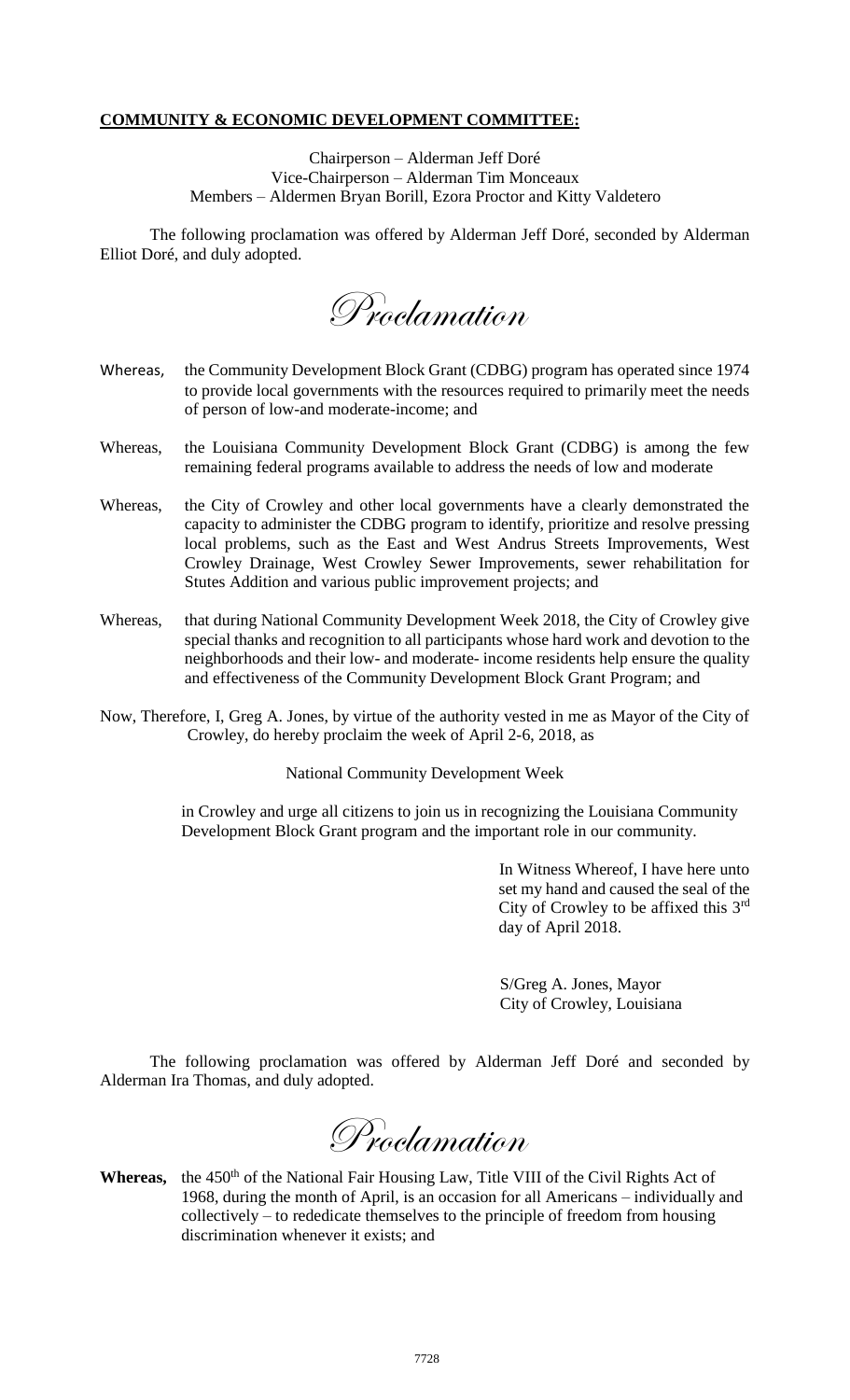# **COMMUNITY & ECONOMIC DEVELOPMENT COMMITTEE:**

Chairperson – Alderman Jeff Doré Vice-Chairperson – Alderman Tim Monceaux Members – Aldermen Bryan Borill, Ezora Proctor and Kitty Valdetero

The following proclamation was offered by Alderman Jeff Doré, seconded by Alderman Elliot Doré, and duly adopted.

Proclamation

- Whereas, the Community Development Block Grant (CDBG) program has operated since 1974 to provide local governments with the resources required to primarily meet the needs of person of low-and moderate-income; and
- Whereas, the Louisiana Community Development Block Grant (CDBG) is among the few remaining federal programs available to address the needs of low and moderate
- Whereas, the City of Crowley and other local governments have a clearly demonstrated the capacity to administer the CDBG program to identify, prioritize and resolve pressing local problems, such as the East and West Andrus Streets Improvements, West Crowley Drainage, West Crowley Sewer Improvements, sewer rehabilitation for Stutes Addition and various public improvement projects; and
- Whereas, that during National Community Development Week 2018, the City of Crowley give special thanks and recognition to all participants whose hard work and devotion to the neighborhoods and their low- and moderate- income residents help ensure the quality and effectiveness of the Community Development Block Grant Program; and
- Now, Therefore, I, Greg A. Jones, by virtue of the authority vested in me as Mayor of the City of Crowley, do hereby proclaim the week of April 2-6, 2018, as

National Community Development Week

in Crowley and urge all citizens to join us in recognizing the Louisiana Community Development Block Grant program and the important role in our community.

> In Witness Whereof, I have here unto set my hand and caused the seal of the City of Crowley to be affixed this 3rd day of April 2018.

S/Greg A. Jones, Mayor City of Crowley, Louisiana

The following proclamation was offered by Alderman Jeff Doré and seconded by Alderman Ira Thomas, and duly adopted.

Proclamation

Whereas, the 450<sup>th</sup> of the National Fair Housing Law, Title VIII of the Civil Rights Act of 1968, during the month of April, is an occasion for all Americans – individually and collectively – to rededicate themselves to the principle of freedom from housing discrimination whenever it exists; and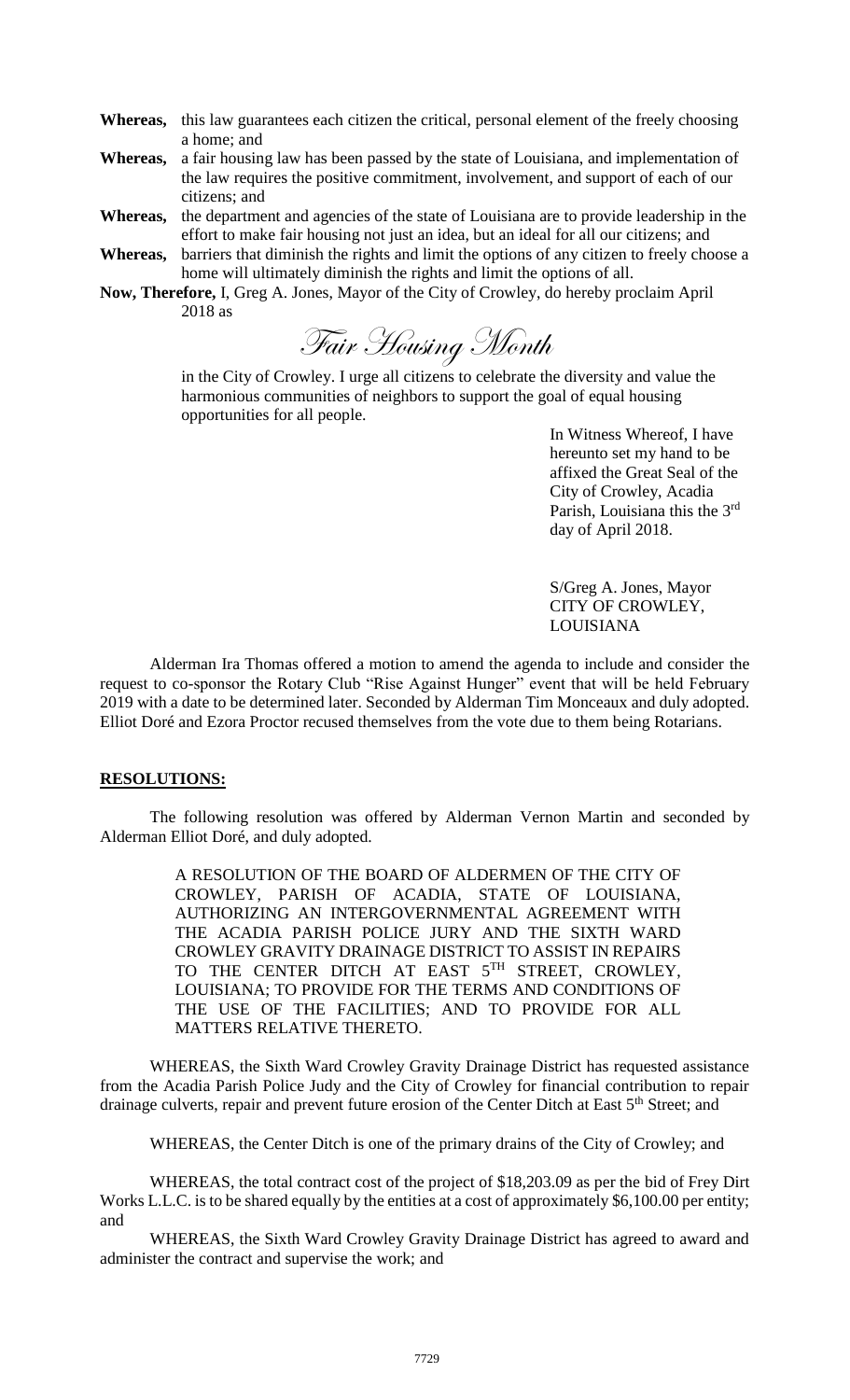**Whereas,** this law guarantees each citizen the critical, personal element of the freely choosing a home; and

**Whereas,** a fair housing law has been passed by the state of Louisiana, and implementation of the law requires the positive commitment, involvement, and support of each of our citizens; and

**Whereas,** the department and agencies of the state of Louisiana are to provide leadership in the effort to make fair housing not just an idea, but an ideal for all our citizens; and

- **Whereas,** barriers that diminish the rights and limit the options of any citizen to freely choose a home will ultimately diminish the rights and limit the options of all.
- **Now, Therefore,** I, Greg A. Jones, Mayor of the City of Crowley, do hereby proclaim April 2018 as

Fair Housing Month

in the City of Crowley. I urge all citizens to celebrate the diversity and value the harmonious communities of neighbors to support the goal of equal housing opportunities for all people.

> In Witness Whereof, I have hereunto set my hand to be affixed the Great Seal of the City of Crowley, Acadia Parish, Louisiana this the 3rd day of April 2018.

S/Greg A. Jones, Mayor CITY OF CROWLEY, LOUISIANA

Alderman Ira Thomas offered a motion to amend the agenda to include and consider the request to co-sponsor the Rotary Club "Rise Against Hunger" event that will be held February 2019 with a date to be determined later. Seconded by Alderman Tim Monceaux and duly adopted. Elliot Doré and Ezora Proctor recused themselves from the vote due to them being Rotarians.

#### **RESOLUTIONS:**

The following resolution was offered by Alderman Vernon Martin and seconded by Alderman Elliot Doré, and duly adopted.

> A RESOLUTION OF THE BOARD OF ALDERMEN OF THE CITY OF CROWLEY, PARISH OF ACADIA, STATE OF LOUISIANA, AUTHORIZING AN INTERGOVERNMENTAL AGREEMENT WITH THE ACADIA PARISH POLICE JURY AND THE SIXTH WARD CROWLEY GRAVITY DRAINAGE DISTRICT TO ASSIST IN REPAIRS TO THE CENTER DITCH AT EAST  $5^{TH}$  STREET, CROWLEY, LOUISIANA; TO PROVIDE FOR THE TERMS AND CONDITIONS OF THE USE OF THE FACILITIES; AND TO PROVIDE FOR ALL MATTERS RELATIVE THERETO.

WHEREAS, the Sixth Ward Crowley Gravity Drainage District has requested assistance from the Acadia Parish Police Judy and the City of Crowley for financial contribution to repair drainage culverts, repair and prevent future erosion of the Center Ditch at East 5<sup>th</sup> Street; and

WHEREAS, the Center Ditch is one of the primary drains of the City of Crowley; and

WHEREAS, the total contract cost of the project of \$18,203.09 as per the bid of Frey Dirt Works L.L.C. is to be shared equally by the entities at a cost of approximately \$6,100.00 per entity; and

WHEREAS, the Sixth Ward Crowley Gravity Drainage District has agreed to award and administer the contract and supervise the work; and